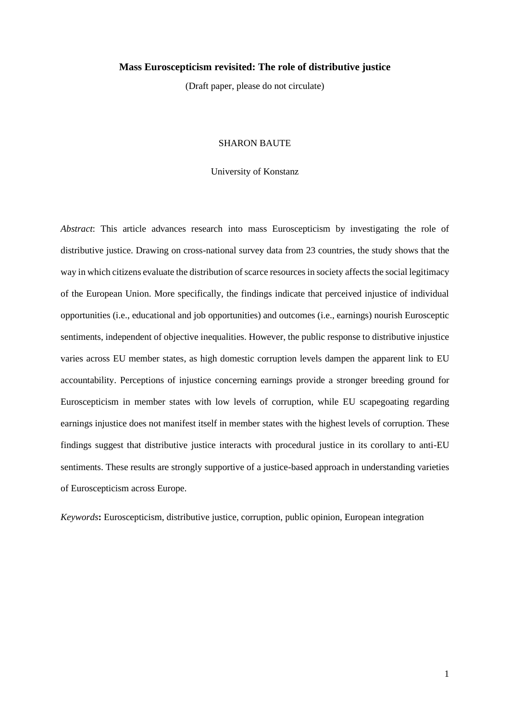# **Mass Euroscepticism revisited: The role of distributive justice**

(Draft paper, please do not circulate)

### SHARON BAUTE

#### University of Konstanz

*Abstract*: This article advances research into mass Euroscepticism by investigating the role of distributive justice. Drawing on cross-national survey data from 23 countries, the study shows that the way in which citizens evaluate the distribution of scarce resources in society affects the social legitimacy of the European Union. More specifically, the findings indicate that perceived injustice of individual opportunities (i.e., educational and job opportunities) and outcomes (i.e., earnings) nourish Eurosceptic sentiments, independent of objective inequalities. However, the public response to distributive injustice varies across EU member states, as high domestic corruption levels dampen the apparent link to EU accountability. Perceptions of injustice concerning earnings provide a stronger breeding ground for Euroscepticism in member states with low levels of corruption, while EU scapegoating regarding earnings injustice does not manifest itself in member states with the highest levels of corruption. These findings suggest that distributive justice interacts with procedural justice in its corollary to anti-EU sentiments. These results are strongly supportive of a justice-based approach in understanding varieties of Euroscepticism across Europe.

*Keywords***:** Euroscepticism, distributive justice, corruption, public opinion, European integration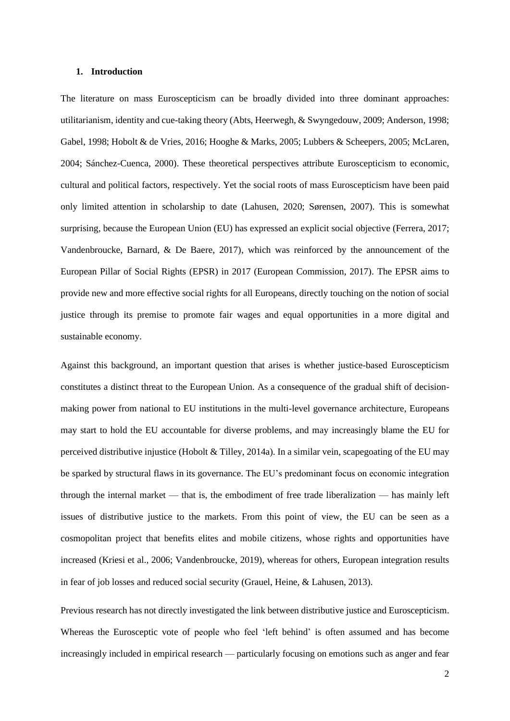### **1. Introduction**

The literature on mass Euroscepticism can be broadly divided into three dominant approaches: utilitarianism, identity and cue-taking theory (Abts, Heerwegh, & Swyngedouw, 2009; Anderson, 1998; Gabel, 1998; Hobolt & de Vries, 2016; Hooghe & Marks, 2005; Lubbers & Scheepers, 2005; McLaren, 2004; Sánchez-Cuenca, 2000). These theoretical perspectives attribute Euroscepticism to economic, cultural and political factors, respectively. Yet the social roots of mass Euroscepticism have been paid only limited attention in scholarship to date (Lahusen, 2020; Sørensen, 2007). This is somewhat surprising, because the European Union (EU) has expressed an explicit social objective (Ferrera, 2017; Vandenbroucke, Barnard, & De Baere, 2017), which was reinforced by the announcement of the European Pillar of Social Rights (EPSR) in 2017 (European Commission, 2017). The EPSR aims to provide new and more effective social rights for all Europeans, directly touching on the notion of social justice through its premise to promote fair wages and equal opportunities in a more digital and sustainable economy.

Against this background, an important question that arises is whether justice-based Euroscepticism constitutes a distinct threat to the European Union. As a consequence of the gradual shift of decisionmaking power from national to EU institutions in the multi-level governance architecture, Europeans may start to hold the EU accountable for diverse problems, and may increasingly blame the EU for perceived distributive injustice (Hobolt & Tilley, 2014a). In a similar vein, scapegoating of the EU may be sparked by structural flaws in its governance. The EU's predominant focus on economic integration through the internal market — that is, the embodiment of free trade liberalization — has mainly left issues of distributive justice to the markets. From this point of view, the EU can be seen as a cosmopolitan project that benefits elites and mobile citizens, whose rights and opportunities have increased (Kriesi et al., 2006; Vandenbroucke, 2019), whereas for others, European integration results in fear of job losses and reduced social security (Grauel, Heine, & Lahusen, 2013).

Previous research has not directly investigated the link between distributive justice and Euroscepticism. Whereas the Eurosceptic vote of people who feel 'left behind' is often assumed and has become increasingly included in empirical research — particularly focusing on emotions such as anger and fear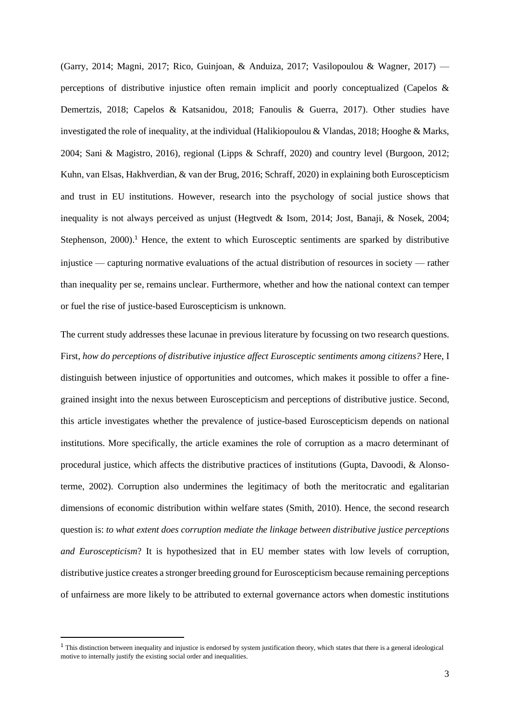(Garry, 2014; Magni, 2017; Rico, Guinjoan, & Anduiza, 2017; Vasilopoulou & Wagner, 2017) perceptions of distributive injustice often remain implicit and poorly conceptualized (Capelos & Demertzis, 2018; Capelos & Katsanidou, 2018; Fanoulis & Guerra, 2017). Other studies have investigated the role of inequality, at the individual (Halikiopoulou & Vlandas, 2018; Hooghe & Marks, 2004; Sani & Magistro, 2016), regional (Lipps & Schraff, 2020) and country level (Burgoon, 2012; Kuhn, van Elsas, Hakhverdian, & van der Brug, 2016; Schraff, 2020) in explaining both Euroscepticism and trust in EU institutions. However, research into the psychology of social justice shows that inequality is not always perceived as unjust (Hegtvedt & Isom, 2014; Jost, Banaji, & Nosek, 2004; Stephenson, 2000).<sup>1</sup> Hence, the extent to which Eurosceptic sentiments are sparked by distributive injustice — capturing normative evaluations of the actual distribution of resources in society — rather than inequality per se, remains unclear. Furthermore, whether and how the national context can temper or fuel the rise of justice-based Euroscepticism is unknown.

The current study addresses these lacunae in previous literature by focussing on two research questions. First, *how do perceptions of distributive injustice affect Eurosceptic sentiments among citizens?* Here, I distinguish between injustice of opportunities and outcomes, which makes it possible to offer a finegrained insight into the nexus between Euroscepticism and perceptions of distributive justice. Second, this article investigates whether the prevalence of justice-based Euroscepticism depends on national institutions. More specifically, the article examines the role of corruption as a macro determinant of procedural justice, which affects the distributive practices of institutions (Gupta, Davoodi, & Alonsoterme, 2002). Corruption also undermines the legitimacy of both the meritocratic and egalitarian dimensions of economic distribution within welfare states (Smith, 2010). Hence, the second research question is: *to what extent does corruption mediate the linkage between distributive justice perceptions and Euroscepticism*? It is hypothesized that in EU member states with low levels of corruption, distributive justice creates a stronger breeding ground for Euroscepticism because remaining perceptions of unfairness are more likely to be attributed to external governance actors when domestic institutions

<sup>&</sup>lt;sup>1</sup> This distinction between inequality and injustice is endorsed by system justification theory, which states that there is a general ideological motive to internally justify the existing social order and inequalities.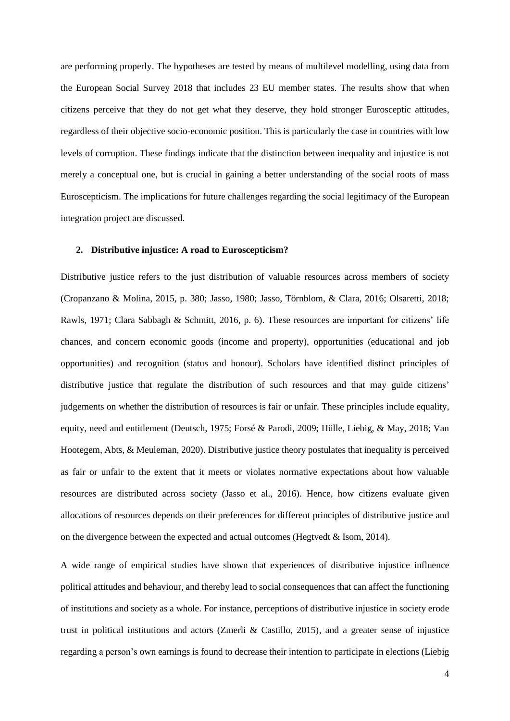are performing properly. The hypotheses are tested by means of multilevel modelling, using data from the European Social Survey 2018 that includes 23 EU member states. The results show that when citizens perceive that they do not get what they deserve, they hold stronger Eurosceptic attitudes, regardless of their objective socio-economic position. This is particularly the case in countries with low levels of corruption. These findings indicate that the distinction between inequality and injustice is not merely a conceptual one, but is crucial in gaining a better understanding of the social roots of mass Euroscepticism. The implications for future challenges regarding the social legitimacy of the European integration project are discussed.

### **2. Distributive injustice: A road to Euroscepticism?**

Distributive justice refers to the just distribution of valuable resources across members of society (Cropanzano & Molina, 2015, p. 380; Jasso, 1980; Jasso, Törnblom, & Clara, 2016; Olsaretti, 2018; Rawls, 1971; Clara Sabbagh & Schmitt, 2016, p. 6). These resources are important for citizens' life chances, and concern economic goods (income and property), opportunities (educational and job opportunities) and recognition (status and honour). Scholars have identified distinct principles of distributive justice that regulate the distribution of such resources and that may guide citizens' judgements on whether the distribution of resources is fair or unfair. These principles include equality, equity, need and entitlement (Deutsch, 1975; Forsé & Parodi, 2009; Hülle, Liebig, & May, 2018; Van Hootegem, Abts, & Meuleman, 2020). Distributive justice theory postulates that inequality is perceived as fair or unfair to the extent that it meets or violates normative expectations about how valuable resources are distributed across society (Jasso et al., 2016). Hence, how citizens evaluate given allocations of resources depends on their preferences for different principles of distributive justice and on the divergence between the expected and actual outcomes (Hegtvedt  $&$  Isom, 2014).

A wide range of empirical studies have shown that experiences of distributive injustice influence political attitudes and behaviour, and thereby lead to social consequences that can affect the functioning of institutions and society as a whole. For instance, perceptions of distributive injustice in society erode trust in political institutions and actors (Zmerli & Castillo, 2015), and a greater sense of injustice regarding a person's own earnings is found to decrease their intention to participate in elections (Liebig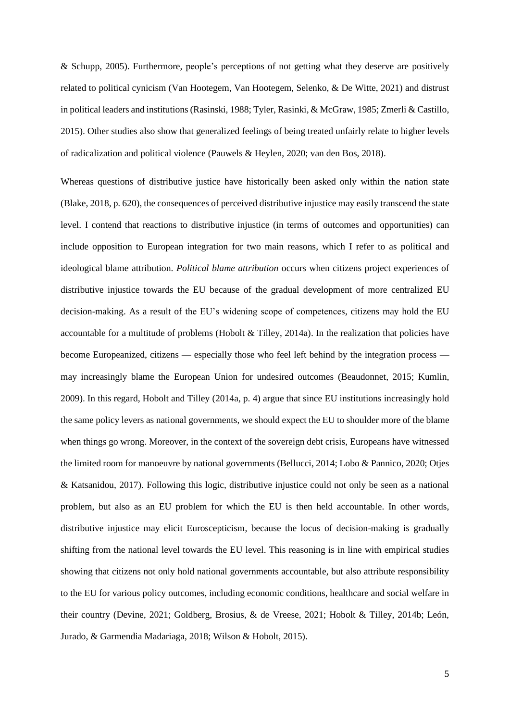& Schupp, 2005). Furthermore, people's perceptions of not getting what they deserve are positively related to political cynicism (Van Hootegem, Van Hootegem, Selenko, & De Witte, 2021) and distrust in political leaders and institutions (Rasinski, 1988; Tyler, Rasinki, & McGraw, 1985; Zmerli & Castillo, 2015). Other studies also show that generalized feelings of being treated unfairly relate to higher levels of radicalization and political violence (Pauwels & Heylen, 2020; van den Bos, 2018).

Whereas questions of distributive justice have historically been asked only within the nation state (Blake, 2018, p. 620), the consequences of perceived distributive injustice may easily transcend the state level. I contend that reactions to distributive injustice (in terms of outcomes and opportunities) can include opposition to European integration for two main reasons, which I refer to as political and ideological blame attribution. *Political blame attribution* occurs when citizens project experiences of distributive injustice towards the EU because of the gradual development of more centralized EU decision-making. As a result of the EU's widening scope of competences, citizens may hold the EU accountable for a multitude of problems (Hobolt & Tilley, 2014a). In the realization that policies have become Europeanized, citizens — especially those who feel left behind by the integration process may increasingly blame the European Union for undesired outcomes (Beaudonnet, 2015; Kumlin, 2009). In this regard, Hobolt and Tilley (2014a, p. 4) argue that since EU institutions increasingly hold the same policy levers as national governments, we should expect the EU to shoulder more of the blame when things go wrong. Moreover, in the context of the sovereign debt crisis, Europeans have witnessed the limited room for manoeuvre by national governments (Bellucci, 2014; Lobo & Pannico, 2020; Otjes & Katsanidou, 2017). Following this logic, distributive injustice could not only be seen as a national problem, but also as an EU problem for which the EU is then held accountable. In other words, distributive injustice may elicit Euroscepticism, because the locus of decision-making is gradually shifting from the national level towards the EU level. This reasoning is in line with empirical studies showing that citizens not only hold national governments accountable, but also attribute responsibility to the EU for various policy outcomes, including economic conditions, healthcare and social welfare in their country (Devine, 2021; Goldberg, Brosius, & de Vreese, 2021; Hobolt & Tilley, 2014b; León, Jurado, & Garmendia Madariaga, 2018; Wilson & Hobolt, 2015).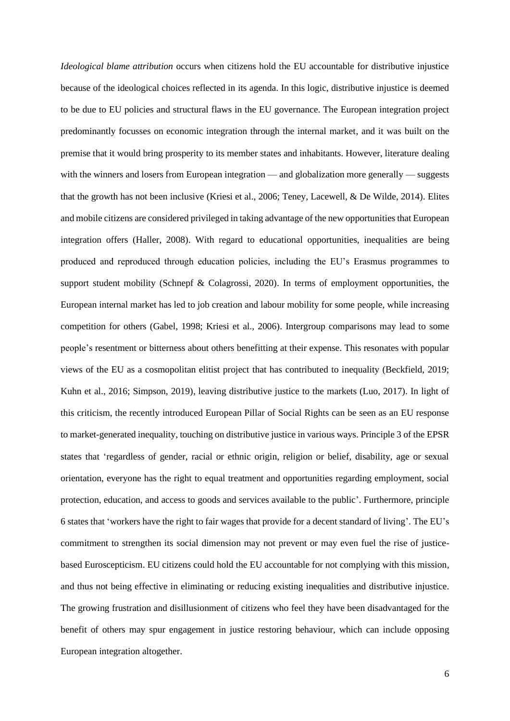*Ideological blame attribution* occurs when citizens hold the EU accountable for distributive injustice because of the ideological choices reflected in its agenda. In this logic, distributive injustice is deemed to be due to EU policies and structural flaws in the EU governance. The European integration project predominantly focusses on economic integration through the internal market, and it was built on the premise that it would bring prosperity to its member states and inhabitants. However, literature dealing with the winners and losers from European integration — and globalization more generally — suggests that the growth has not been inclusive (Kriesi et al., 2006; Teney, Lacewell, & De Wilde, 2014). Elites and mobile citizens are considered privileged in taking advantage of the new opportunities that European integration offers (Haller, 2008). With regard to educational opportunities, inequalities are being produced and reproduced through education policies, including the EU's Erasmus programmes to support student mobility (Schnepf & Colagrossi, 2020). In terms of employment opportunities, the European internal market has led to job creation and labour mobility for some people, while increasing competition for others (Gabel, 1998; Kriesi et al., 2006). Intergroup comparisons may lead to some people's resentment or bitterness about others benefitting at their expense. This resonates with popular views of the EU as a cosmopolitan elitist project that has contributed to inequality (Beckfield, 2019; Kuhn et al., 2016; Simpson, 2019), leaving distributive justice to the markets (Luo, 2017). In light of this criticism, the recently introduced European Pillar of Social Rights can be seen as an EU response to market-generated inequality, touching on distributive justice in various ways. Principle 3 of the EPSR states that 'regardless of gender, racial or ethnic origin, religion or belief, disability, age or sexual orientation, everyone has the right to equal treatment and opportunities regarding employment, social protection, education, and access to goods and services available to the public'. Furthermore, principle 6 states that 'workers have the right to fair wages that provide for a decent standard of living'. The EU's commitment to strengthen its social dimension may not prevent or may even fuel the rise of justicebased Euroscepticism. EU citizens could hold the EU accountable for not complying with this mission, and thus not being effective in eliminating or reducing existing inequalities and distributive injustice. The growing frustration and disillusionment of citizens who feel they have been disadvantaged for the benefit of others may spur engagement in justice restoring behaviour, which can include opposing European integration altogether.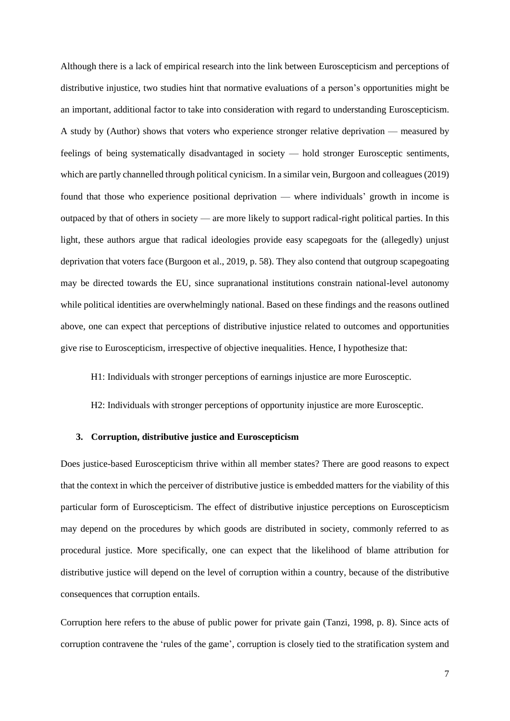Although there is a lack of empirical research into the link between Euroscepticism and perceptions of distributive injustice, two studies hint that normative evaluations of a person's opportunities might be an important, additional factor to take into consideration with regard to understanding Euroscepticism. A study by (Author) shows that voters who experience stronger relative deprivation — measured by feelings of being systematically disadvantaged in society — hold stronger Eurosceptic sentiments, which are partly channelled through political cynicism. In a similar vein, Burgoon and colleagues (2019) found that those who experience positional deprivation — where individuals' growth in income is outpaced by that of others in society — are more likely to support radical-right political parties. In this light, these authors argue that radical ideologies provide easy scapegoats for the (allegedly) unjust deprivation that voters face (Burgoon et al., 2019, p. 58). They also contend that outgroup scapegoating may be directed towards the EU, since supranational institutions constrain national-level autonomy while political identities are overwhelmingly national. Based on these findings and the reasons outlined above, one can expect that perceptions of distributive injustice related to outcomes and opportunities give rise to Euroscepticism, irrespective of objective inequalities. Hence, I hypothesize that:

H1: Individuals with stronger perceptions of earnings injustice are more Eurosceptic.

H2: Individuals with stronger perceptions of opportunity injustice are more Eurosceptic.

## **3. Corruption, distributive justice and Euroscepticism**

Does justice-based Euroscepticism thrive within all member states? There are good reasons to expect that the context in which the perceiver of distributive justice is embedded matters for the viability of this particular form of Euroscepticism. The effect of distributive injustice perceptions on Euroscepticism may depend on the procedures by which goods are distributed in society, commonly referred to as procedural justice. More specifically, one can expect that the likelihood of blame attribution for distributive justice will depend on the level of corruption within a country, because of the distributive consequences that corruption entails.

Corruption here refers to the abuse of public power for private gain (Tanzi, 1998, p. 8). Since acts of corruption contravene the 'rules of the game', corruption is closely tied to the stratification system and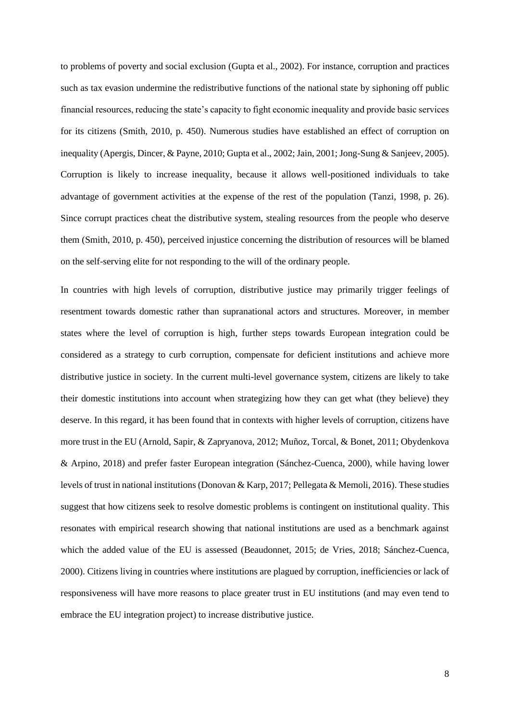to problems of poverty and social exclusion (Gupta et al., 2002). For instance, corruption and practices such as tax evasion undermine the redistributive functions of the national state by siphoning off public financial resources, reducing the state's capacity to fight economic inequality and provide basic services for its citizens (Smith, 2010, p. 450). Numerous studies have established an effect of corruption on inequality (Apergis, Dincer, & Payne, 2010; Gupta et al., 2002; Jain, 2001; Jong-Sung & Sanjeev, 2005). Corruption is likely to increase inequality, because it allows well-positioned individuals to take advantage of government activities at the expense of the rest of the population (Tanzi, 1998, p. 26). Since corrupt practices cheat the distributive system, stealing resources from the people who deserve them (Smith, 2010, p. 450), perceived injustice concerning the distribution of resources will be blamed on the self-serving elite for not responding to the will of the ordinary people.

In countries with high levels of corruption, distributive justice may primarily trigger feelings of resentment towards domestic rather than supranational actors and structures. Moreover, in member states where the level of corruption is high, further steps towards European integration could be considered as a strategy to curb corruption, compensate for deficient institutions and achieve more distributive justice in society. In the current multi-level governance system, citizens are likely to take their domestic institutions into account when strategizing how they can get what (they believe) they deserve. In this regard, it has been found that in contexts with higher levels of corruption, citizens have more trust in the EU (Arnold, Sapir, & Zapryanova, 2012; Muñoz, Torcal, & Bonet, 2011; Obydenkova & Arpino, 2018) and prefer faster European integration (Sánchez-Cuenca, 2000), while having lower levels of trust in national institutions (Donovan & Karp, 2017; Pellegata & Memoli, 2016). These studies suggest that how citizens seek to resolve domestic problems is contingent on institutional quality. This resonates with empirical research showing that national institutions are used as a benchmark against which the added value of the EU is assessed (Beaudonnet, 2015; de Vries, 2018; Sánchez-Cuenca, 2000). Citizens living in countries where institutions are plagued by corruption, inefficiencies or lack of responsiveness will have more reasons to place greater trust in EU institutions (and may even tend to embrace the EU integration project) to increase distributive justice.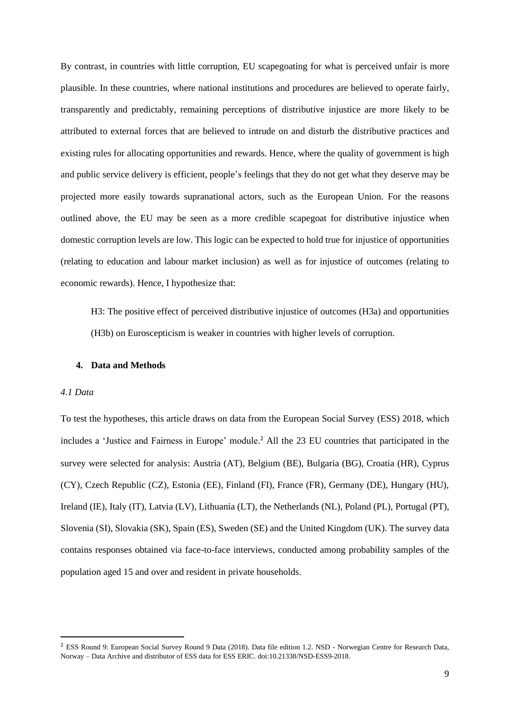By contrast, in countries with little corruption, EU scapegoating for what is perceived unfair is more plausible. In these countries, where national institutions and procedures are believed to operate fairly, transparently and predictably, remaining perceptions of distributive injustice are more likely to be attributed to external forces that are believed to intrude on and disturb the distributive practices and existing rules for allocating opportunities and rewards. Hence, where the quality of government is high and public service delivery is efficient, people's feelings that they do not get what they deserve may be projected more easily towards supranational actors, such as the European Union. For the reasons outlined above, the EU may be seen as a more credible scapegoat for distributive injustice when domestic corruption levels are low. This logic can be expected to hold true for injustice of opportunities (relating to education and labour market inclusion) as well as for injustice of outcomes (relating to economic rewards). Hence, I hypothesize that:

H3: The positive effect of perceived distributive injustice of outcomes (H3a) and opportunities (H3b) on Euroscepticism is weaker in countries with higher levels of corruption.

### **4. Data and Methods**

## *4.1 Data*

To test the hypotheses, this article draws on data from the European Social Survey (ESS) 2018, which includes a 'Justice and Fairness in Europe' module. <sup>2</sup> All the 23 EU countries that participated in the survey were selected for analysis: Austria (AT), Belgium (BE), Bulgaria (BG), Croatia (HR), Cyprus (CY), Czech Republic (CZ), Estonia (EE), Finland (FI), France (FR), Germany (DE), Hungary (HU), Ireland (IE), Italy (IT), Latvia (LV), Lithuania (LT), the Netherlands (NL), Poland (PL), Portugal (PT), Slovenia (SI), Slovakia (SK), Spain (ES), Sweden (SE) and the United Kingdom (UK). The survey data contains responses obtained via face-to-face interviews, conducted among probability samples of the population aged 15 and over and resident in private households.

<sup>&</sup>lt;sup>2</sup> ESS Round 9: European Social Survey Round 9 Data (2018). Data file edition 1.2. NSD - Norwegian Centre for Research Data, Norway – Data Archive and distributor of ESS data for ESS ERIC. [doi:10.21338/NSD-ESS9-2018.](http://dx.doi.org/10.21338/NSD-ESS9-2018)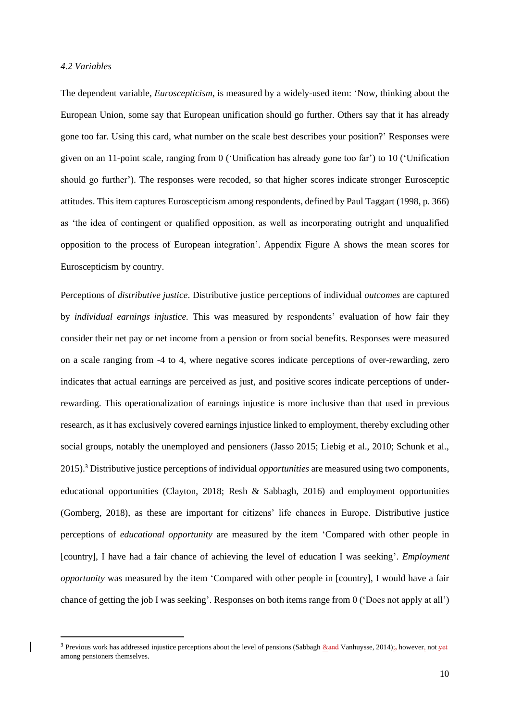### *4.2 Variables*

The dependent variable*, Euroscepticism*, is measured by a widely-used item: 'Now, thinking about the European Union, some say that European unification should go further. Others say that it has already gone too far. Using this card, what number on the scale best describes your position?' Responses were given on an 11-point scale, ranging from 0 ('Unification has already gone too far') to 10 ('Unification should go further'). The responses were recoded, so that higher scores indicate stronger Eurosceptic attitudes. This item captures Euroscepticism among respondents, defined by Paul Taggart (1998, p. 366) as 'the idea of contingent or qualified opposition, as well as incorporating outright and unqualified opposition to the process of European integration'. Appendix Figure A shows the mean scores for Euroscepticism by country.

Perceptions of *distributive justice*. Distributive justice perceptions of individual *outcomes* are captured by *individual earnings injustice.* This was measured by respondents' evaluation of how fair they consider their net pay or net income from a pension or from social benefits. Responses were measured on a scale ranging from -4 to 4, where negative scores indicate perceptions of over-rewarding, zero indicates that actual earnings are perceived as just, and positive scores indicate perceptions of underrewarding. This operationalization of earnings injustice is more inclusive than that used in previous research, as it has exclusively covered earnings injustice linked to employment, thereby excluding other social groups, notably the unemployed and pensioners (Jasso 2015; Liebig et al., 2010; Schunk et al., 2015).<sup>3</sup> Distributive justice perceptions of individual *opportunities* are measured using two components, educational opportunities (Clayton, 2018; Resh & Sabbagh, 2016) and employment opportunities (Gomberg, 2018), as these are important for citizens' life chances in Europe. Distributive justice perceptions of *educational opportunity* are measured by the item 'Compared with other people in [country], I have had a fair chance of achieving the level of education I was seeking'. *Employment opportunity* was measured by the item 'Compared with other people in [country], I would have a fair chance of getting the job I was seeking'. Responses on both items range from 0 ('Does not apply at all')

<sup>&</sup>lt;sup>3</sup> Previous work has addressed injustice perceptions about the level of pensions (Sabbagh &and Vanhuysse, 2014);, however, not yet among pensioners themselves.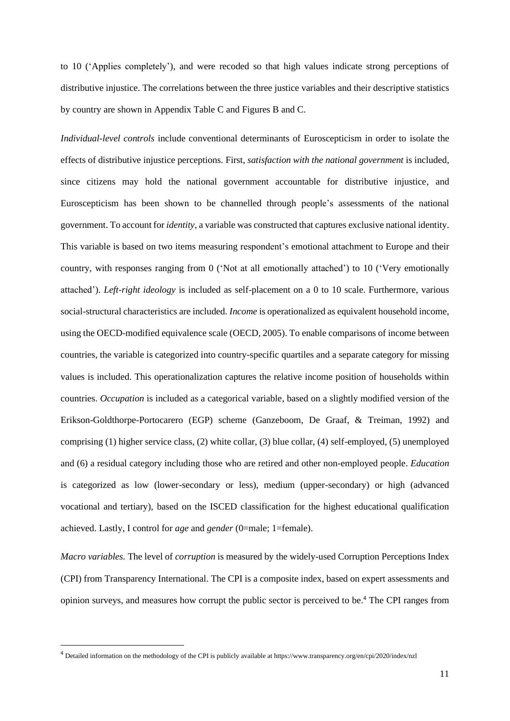to 10 ('Applies completely'), and were recoded so that high values indicate strong perceptions of distributive injustice. The correlations between the three justice variables and their descriptive statistics by country are shown in Appendix Table C and Figures B and C.

*Individual-level controls* include conventional determinants of Euroscepticism in order to isolate the effects of distributive injustice perceptions. First, *satisfaction with the national government* is included, since citizens may hold the national government accountable for distributive injustice, and Euroscepticism has been shown to be channelled through people's assessments of the national government. To account for *identity*, a variable was constructed that captures exclusive national identity. This variable is based on two items measuring respondent's emotional attachment to Europe and their country, with responses ranging from 0 ('Not at all emotionally attached') to 10 ('Very emotionally attached'). *Left-right ideology* is included as self-placement on a 0 to 10 scale. Furthermore, various social-structural characteristics are included. *Income* is operationalized as equivalent household income, using the OECD-modified equivalence scale (OECD, 2005). To enable comparisons of income between countries, the variable is categorized into country-specific quartiles and a separate category for missing values is included. This operationalization captures the relative income position of households within countries. *Occupation* is included as a categorical variable, based on a slightly modified version of the Erikson-Goldthorpe-Portocarero (EGP) scheme (Ganzeboom, De Graaf, & Treiman, 1992) and comprising (1) higher service class, (2) white collar, (3) blue collar, (4) self-employed, (5) unemployed and (6) a residual category including those who are retired and other non-employed people. *Education* is categorized as low (lower-secondary or less), medium (upper-secondary) or high (advanced vocational and tertiary), based on the ISCED classification for the highest educational qualification achieved. Lastly, I control for *age* and *gender* (0=male; 1=female).

*Macro variables.* The level of *corruption* is measured by the widely-used Corruption Perceptions Index (CPI) from Transparency International. The CPI is a composite index, based on expert assessments and opinion surveys, and measures how corrupt the public sector is perceived to be. <sup>4</sup> The CPI ranges from

<sup>4</sup> Detailed information on the methodology of the CPI is publicly available at https://www.transparency.org/en/cpi/2020/index/nzl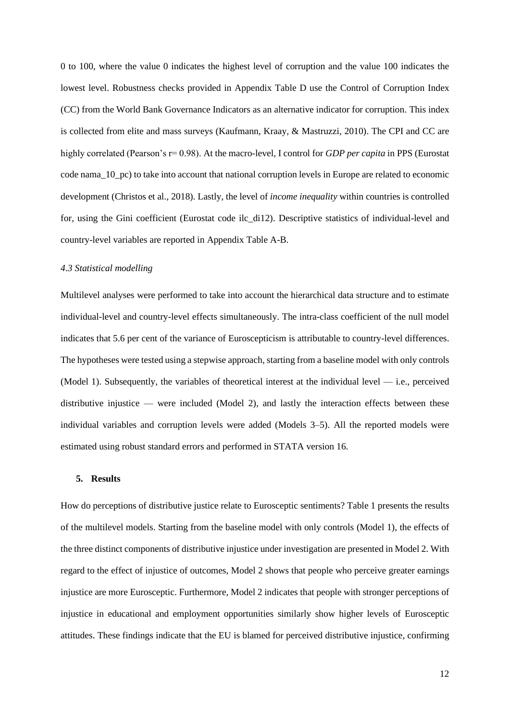0 to 100, where the value 0 indicates the highest level of corruption and the value 100 indicates the lowest level. Robustness checks provided in Appendix Table D use the Control of Corruption Index (CC) from the World Bank Governance Indicators as an alternative indicator for corruption. This index is collected from elite and mass surveys (Kaufmann, Kraay, & Mastruzzi, 2010). The CPI and CC are highly correlated (Pearson's r= 0.98). At the macro-level, I control for *GDP per capita* in PPS (Eurostat code nama\_10\_pc) to take into account that national corruption levels in Europe are related to economic development (Christos et al., 2018). Lastly, the level of *income inequality* within countries is controlled for, using the Gini coefficient (Eurostat code ilc\_di12). Descriptive statistics of individual-level and country-level variables are reported in Appendix Table A-B.

### *4.3 Statistical modelling*

Multilevel analyses were performed to take into account the hierarchical data structure and to estimate individual-level and country-level effects simultaneously. The intra-class coefficient of the null model indicates that 5.6 per cent of the variance of Euroscepticism is attributable to country-level differences. The hypotheses were tested using a stepwise approach, starting from a baseline model with only controls (Model 1). Subsequently, the variables of theoretical interest at the individual level  $-$  i.e., perceived distributive injustice — were included (Model 2), and lastly the interaction effects between these individual variables and corruption levels were added (Models 3–5). All the reported models were estimated using robust standard errors and performed in STATA version 16.

#### **5. Results**

How do perceptions of distributive justice relate to Eurosceptic sentiments? Table 1 presents the results of the multilevel models. Starting from the baseline model with only controls (Model 1), the effects of the three distinct components of distributive injustice under investigation are presented in Model 2. With regard to the effect of injustice of outcomes, Model 2 shows that people who perceive greater earnings injustice are more Eurosceptic. Furthermore, Model 2 indicates that people with stronger perceptions of injustice in educational and employment opportunities similarly show higher levels of Eurosceptic attitudes. These findings indicate that the EU is blamed for perceived distributive injustice, confirming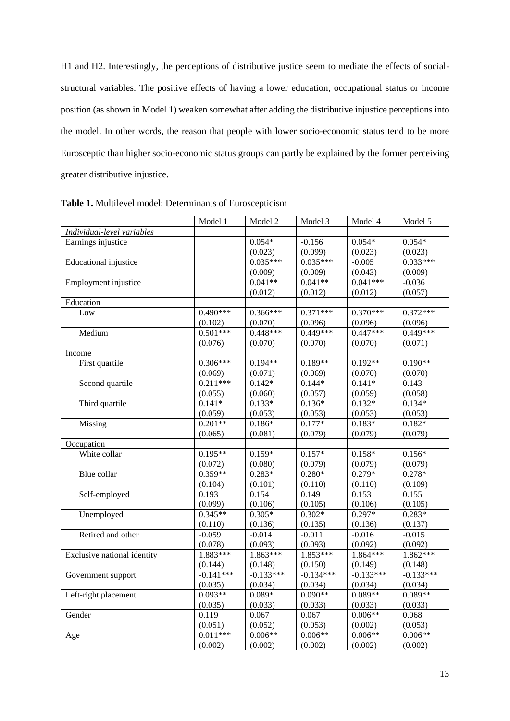H1 and H2. Interestingly, the perceptions of distributive justice seem to mediate the effects of socialstructural variables. The positive effects of having a lower education, occupational status or income position (as shown in Model 1) weaken somewhat after adding the distributive injustice perceptions into the model. In other words, the reason that people with lower socio-economic status tend to be more Eurosceptic than higher socio-economic status groups can partly be explained by the former perceiving greater distributive injustice.

|                             | Model 1     | Model 2     | Model 3     | Model 4     | Model 5     |
|-----------------------------|-------------|-------------|-------------|-------------|-------------|
| Individual-level variables  |             |             |             |             |             |
| Earnings injustice          |             | $0.054*$    | $-0.156$    | $0.054*$    | $0.054*$    |
|                             |             | (0.023)     | (0.099)     | (0.023)     | (0.023)     |
| Educational injustice       |             | $0.035***$  | $0.035***$  | $-0.005$    | $0.033***$  |
|                             |             | (0.009)     | (0.009)     | (0.043)     | (0.009)     |
| Employment injustice        |             | $0.041**$   | $0.041**$   | $0.041***$  | $-0.036$    |
|                             |             | (0.012)     | (0.012)     | (0.012)     | (0.057)     |
| Education                   |             |             |             |             |             |
| Low                         | $0.490***$  | 0.366***    | $0.371***$  | $0.370***$  | $0.372***$  |
|                             | (0.102)     | (0.070)     | (0.096)     | (0.096)     | (0.096)     |
| Medium                      | $0.501***$  | 0.448***    | $0.449***$  | $0.447***$  | 0.449***    |
|                             | (0.076)     | (0.070)     | (0.070)     | (0.070)     | (0.071)     |
| Income                      |             |             |             |             |             |
| First quartile              | $0.306***$  | $0.194**$   | $0.189**$   | $0.192**$   | $0.190**$   |
|                             | (0.069)     | (0.071)     | (0.069)     | (0.070)     | (0.070)     |
| Second quartile             | $0.211***$  | $0.142*$    | $0.144*$    | $0.141*$    | 0.143       |
|                             | (0.055)     | (0.060)     | (0.057)     | (0.059)     | (0.058)     |
| Third quartile              | $0.141*$    | $0.133*$    | $0.136*$    | $0.132*$    | $0.134*$    |
|                             | (0.059)     | (0.053)     | (0.053)     | (0.053)     | (0.053)     |
| Missing                     | $0.201**$   | $0.186*$    | $0.177*$    | $0.183*$    | $0.182*$    |
|                             | (0.065)     | (0.081)     | (0.079)     | (0.079)     | (0.079)     |
| Occupation                  |             |             |             |             |             |
| White collar                | $0.195**$   | $0.159*$    | $0.157*$    | $0.158*$    | $0.156*$    |
|                             | (0.072)     | (0.080)     | (0.079)     | (0.079)     | (0.079)     |
| Blue collar                 | $0.359**$   | $0.283*$    | $0.280*$    | $0.279*$    | $0.278*$    |
|                             | (0.104)     | (0.101)     | (0.110)     | (0.110)     | (0.109)     |
| Self-employed               | 0.193       | 0.154       | 0.149       | 0.153       | 0.155       |
|                             | (0.099)     | (0.106)     | (0.105)     | (0.106)     | (0.105)     |
| Unemployed                  | $0.345**$   | $0.305*$    | $0.302*$    | $0.297*$    | $0.283*$    |
|                             | (0.110)     | (0.136)     | (0.135)     | (0.136)     | (0.137)     |
| Retired and other           | $-0.059$    | $-0.014$    | $-0.011$    | $-0.016$    | $-0.015$    |
|                             | (0.078)     | (0.093)     | (0.093)     | (0.092)     | (0.092)     |
| Exclusive national identity | 1.883***    | 1.863***    | $1.853***$  | 1.864***    | $1.862***$  |
|                             | (0.144)     | (0.148)     | (0.150)     | (0.149)     | (0.148)     |
| Government support          | $-0.141***$ | $-0.133***$ | $-0.134***$ | $-0.133***$ | $-0.133***$ |
|                             | (0.035)     | (0.034)     | (0.034)     | (0.034)     | (0.034)     |
| Left-right placement        | $0.093**$   | $0.089*$    | $0.090**$   | $0.089**$   | $0.089**$   |
|                             | (0.035)     | (0.033)     | (0.033)     | (0.033)     | (0.033)     |
| Gender                      | 0.119       | 0.067       | 0.067       | $0.006**$   | 0.068       |
|                             | (0.051)     | (0.052)     | (0.053)     | (0.002)     | (0.053)     |
| Age                         | $0.011***$  | $0.006**$   | $0.006**$   | $0.006**$   | $0.006**$   |
|                             | (0.002)     | (0.002)     | (0.002)     | (0.002)     | (0.002)     |

**Table 1.** Multilevel model: Determinants of Euroscepticism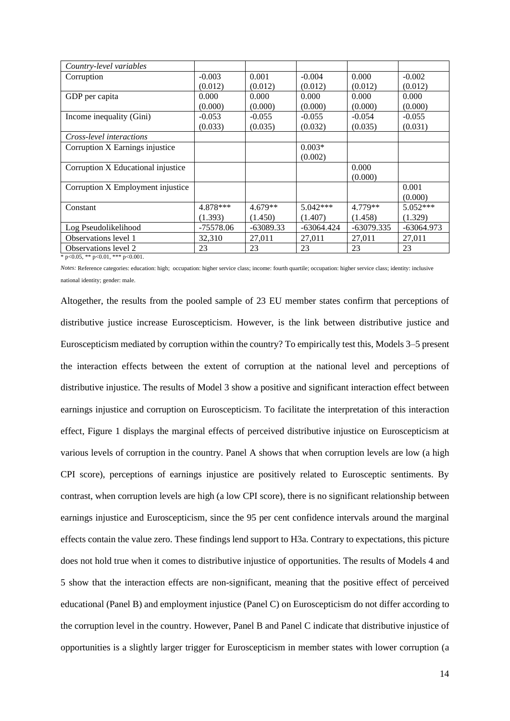| Country-level variables                    |             |             |              |              |              |  |  |
|--------------------------------------------|-------------|-------------|--------------|--------------|--------------|--|--|
| Corruption                                 | $-0.003$    | 0.001       | $-0.004$     | 0.000        | $-0.002$     |  |  |
|                                            | (0.012)     | (0.012)     | (0.012)      | (0.012)      | (0.012)      |  |  |
| GDP per capita                             | 0.000       | 0.000       | 0.000        | 0.000        | 0.000        |  |  |
|                                            | (0.000)     | (0.000)     | (0.000)      | (0.000)      | (0.000)      |  |  |
| Income inequality (Gini)                   | $-0.053$    | $-0.055$    | $-0.055$     | $-0.054$     | $-0.055$     |  |  |
|                                            | (0.033)     | (0.035)     | (0.032)      | (0.035)      | (0.031)      |  |  |
| Cross-level interactions                   |             |             |              |              |              |  |  |
| Corruption X Earnings injustice            |             |             | $0.003*$     |              |              |  |  |
|                                            |             |             | (0.002)      |              |              |  |  |
| Corruption X Educational injustice         |             |             |              | 0.000        |              |  |  |
|                                            |             |             |              | (0.000)      |              |  |  |
| Corruption X Employment injustice          |             |             |              |              | 0.001        |  |  |
|                                            |             |             |              |              | (0.000)      |  |  |
| Constant                                   | 4.878***    | 4.679**     | $5.042***$   | 4.779**      | $5.052***$   |  |  |
|                                            | (1.393)     | (1.450)     | (1.407)      | (1.458)      | (1.329)      |  |  |
| Log Pseudolikelihood                       | $-75578.06$ | $-63089.33$ | $-63064.424$ | $-63079.335$ | $-63064.973$ |  |  |
| Observations level 1                       | 32,310      | 27,011      | 27,011       | 27,011       | 27,011       |  |  |
| Observations level 2                       | 23          | 23          | 23           | 23           | 23           |  |  |
| * $p<0.05$ , ** $p<0.01$ , *** $p<0.001$ . |             |             |              |              |              |  |  |

*Notes:* Reference categories: education: high; occupation: higher service class; income: fourth quartile; occupation: higher service class; identity: inclusive national identity; gender: male.

Altogether, the results from the pooled sample of 23 EU member states confirm that perceptions of distributive justice increase Euroscepticism. However, is the link between distributive justice and Euroscepticism mediated by corruption within the country? To empirically test this, Models 3–5 present the interaction effects between the extent of corruption at the national level and perceptions of distributive injustice. The results of Model 3 show a positive and significant interaction effect between earnings injustice and corruption on Euroscepticism. To facilitate the interpretation of this interaction effect, Figure 1 displays the marginal effects of perceived distributive injustice on Euroscepticism at various levels of corruption in the country. Panel A shows that when corruption levels are low (a high CPI score), perceptions of earnings injustice are positively related to Eurosceptic sentiments. By contrast, when corruption levels are high (a low CPI score), there is no significant relationship between earnings injustice and Euroscepticism, since the 95 per cent confidence intervals around the marginal effects contain the value zero. These findings lend support to H3a. Contrary to expectations, this picture does not hold true when it comes to distributive injustice of opportunities. The results of Models 4 and 5 show that the interaction effects are non-significant, meaning that the positive effect of perceived educational (Panel B) and employment injustice (Panel C) on Euroscepticism do not differ according to the corruption level in the country. However, Panel B and Panel C indicate that distributive injustice of opportunities is a slightly larger trigger for Euroscepticism in member states with lower corruption (a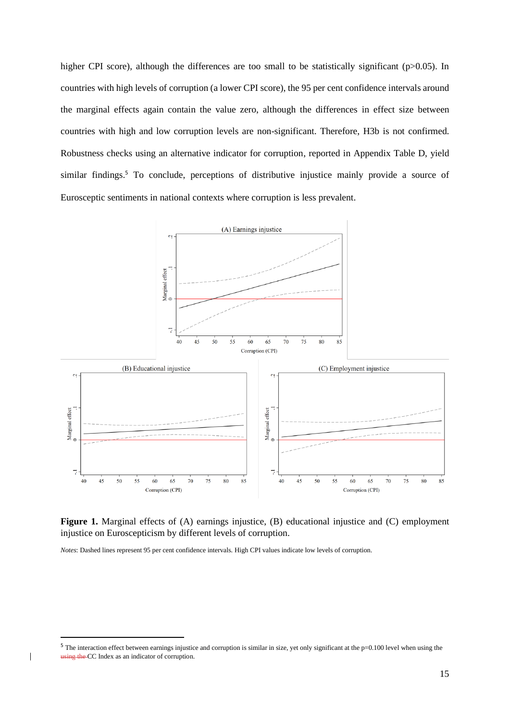higher CPI score), although the differences are too small to be statistically significant (p>0.05). In countries with high levels of corruption (a lower CPI score), the 95 per cent confidence intervals around the marginal effects again contain the value zero, although the differences in effect size between countries with high and low corruption levels are non-significant. Therefore, H3b is not confirmed. Robustness checks using an alternative indicator for corruption, reported in Appendix Table D, yield similar findings.<sup>5</sup> To conclude, perceptions of distributive injustice mainly provide a source of Eurosceptic sentiments in national contexts where corruption is less prevalent.





*Notes*: Dashed lines represent 95 per cent confidence intervals. High CPI values indicate low levels of corruption.

 $\overline{\phantom{a}}$ 

 $5$  The interaction effect between earnings injustice and corruption is similar in size, yet only significant at the p=0.100 level when using the using the CC Index as an indicator of corruption.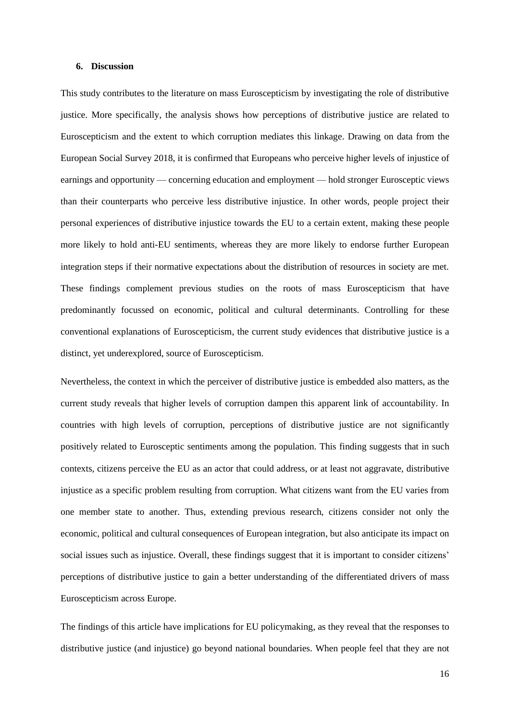### **6. Discussion**

This study contributes to the literature on mass Euroscepticism by investigating the role of distributive justice. More specifically, the analysis shows how perceptions of distributive justice are related to Euroscepticism and the extent to which corruption mediates this linkage. Drawing on data from the European Social Survey 2018, it is confirmed that Europeans who perceive higher levels of injustice of earnings and opportunity — concerning education and employment — hold stronger Eurosceptic views than their counterparts who perceive less distributive injustice. In other words, people project their personal experiences of distributive injustice towards the EU to a certain extent, making these people more likely to hold anti-EU sentiments, whereas they are more likely to endorse further European integration steps if their normative expectations about the distribution of resources in society are met. These findings complement previous studies on the roots of mass Euroscepticism that have predominantly focussed on economic, political and cultural determinants. Controlling for these conventional explanations of Euroscepticism, the current study evidences that distributive justice is a distinct, yet underexplored, source of Euroscepticism.

Nevertheless, the context in which the perceiver of distributive justice is embedded also matters, as the current study reveals that higher levels of corruption dampen this apparent link of accountability. In countries with high levels of corruption, perceptions of distributive justice are not significantly positively related to Eurosceptic sentiments among the population. This finding suggests that in such contexts, citizens perceive the EU as an actor that could address, or at least not aggravate, distributive injustice as a specific problem resulting from corruption. What citizens want from the EU varies from one member state to another. Thus, extending previous research, citizens consider not only the economic, political and cultural consequences of European integration, but also anticipate its impact on social issues such as injustice. Overall, these findings suggest that it is important to consider citizens' perceptions of distributive justice to gain a better understanding of the differentiated drivers of mass Euroscepticism across Europe.

The findings of this article have implications for EU policymaking, as they reveal that the responses to distributive justice (and injustice) go beyond national boundaries. When people feel that they are not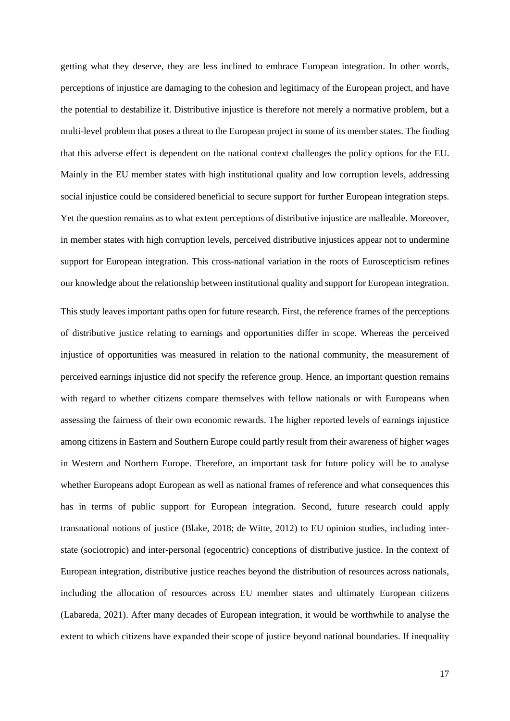getting what they deserve, they are less inclined to embrace European integration. In other words, perceptions of injustice are damaging to the cohesion and legitimacy of the European project, and have the potential to destabilize it. Distributive injustice is therefore not merely a normative problem, but a multi-level problem that poses a threat to the European project in some of its member states. The finding that this adverse effect is dependent on the national context challenges the policy options for the EU. Mainly in the EU member states with high institutional quality and low corruption levels, addressing social injustice could be considered beneficial to secure support for further European integration steps. Yet the question remains as to what extent perceptions of distributive injustice are malleable. Moreover, in member states with high corruption levels, perceived distributive injustices appear not to undermine support for European integration. This cross-national variation in the roots of Euroscepticism refines our knowledge about the relationship between institutional quality and support for European integration.

This study leaves important paths open for future research. First, the reference frames of the perceptions of distributive justice relating to earnings and opportunities differ in scope. Whereas the perceived injustice of opportunities was measured in relation to the national community, the measurement of perceived earnings injustice did not specify the reference group. Hence, an important question remains with regard to whether citizens compare themselves with fellow nationals or with Europeans when assessing the fairness of their own economic rewards. The higher reported levels of earnings injustice among citizens in Eastern and Southern Europe could partly result from their awareness of higher wages in Western and Northern Europe. Therefore, an important task for future policy will be to analyse whether Europeans adopt European as well as national frames of reference and what consequences this has in terms of public support for European integration. Second, future research could apply transnational notions of justice (Blake, 2018; de Witte, 2012) to EU opinion studies, including interstate (sociotropic) and inter-personal (egocentric) conceptions of distributive justice. In the context of European integration, distributive justice reaches beyond the distribution of resources across nationals, including the allocation of resources across EU member states and ultimately European citizens (Labareda, 2021). After many decades of European integration, it would be worthwhile to analyse the extent to which citizens have expanded their scope of justice beyond national boundaries. If inequality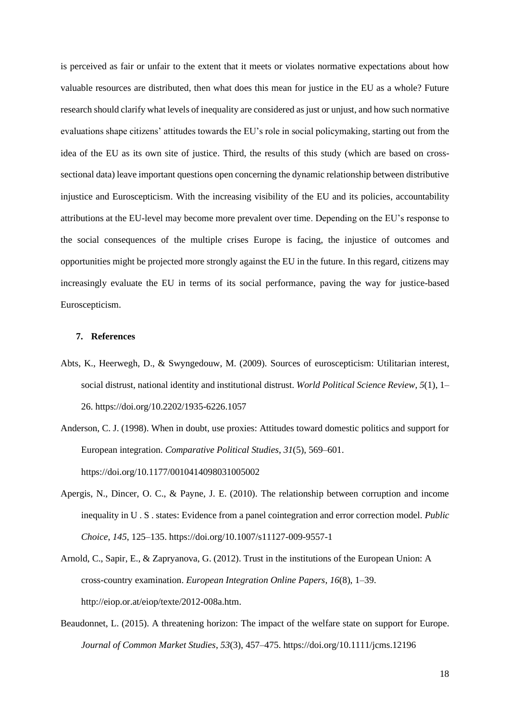is perceived as fair or unfair to the extent that it meets or violates normative expectations about how valuable resources are distributed, then what does this mean for justice in the EU as a whole? Future research should clarify what levels of inequality are considered as just or unjust, and how such normative evaluations shape citizens' attitudes towards the EU's role in social policymaking, starting out from the idea of the EU as its own site of justice. Third, the results of this study (which are based on crosssectional data) leave important questions open concerning the dynamic relationship between distributive injustice and Euroscepticism. With the increasing visibility of the EU and its policies, accountability attributions at the EU-level may become more prevalent over time. Depending on the EU's response to the social consequences of the multiple crises Europe is facing, the injustice of outcomes and opportunities might be projected more strongly against the EU in the future. In this regard, citizens may increasingly evaluate the EU in terms of its social performance, paving the way for justice-based Euroscepticism.

### **7. References**

- Abts, K., Heerwegh, D., & Swyngedouw, M. (2009). Sources of euroscepticism: Utilitarian interest, social distrust, national identity and institutional distrust. *World Political Science Review*, *5*(1), 1– 26. https://doi.org/10.2202/1935-6226.1057
- Anderson, C. J. (1998). When in doubt, use proxies: Attitudes toward domestic politics and support for European integration. *Comparative Political Studies*, *31*(5), 569–601. https://doi.org/10.1177/0010414098031005002
- Apergis, N., Dincer, O. C., & Payne, J. E. (2010). The relationship between corruption and income inequality in U . S . states: Evidence from a panel cointegration and error correction model. *Public Choice*, *145*, 125–135. https://doi.org/10.1007/s11127-009-9557-1
- Arnold, C., Sapir, E., & Zapryanova, G. (2012). Trust in the institutions of the European Union: A cross-country examination. *European Integration Online Papers*, *16*(8), 1–39. http://eiop.or.at/eiop/texte/2012-008a.htm.
- Beaudonnet, L. (2015). A threatening horizon: The impact of the welfare state on support for Europe. *Journal of Common Market Studies*, *53*(3), 457–475. https://doi.org/10.1111/jcms.12196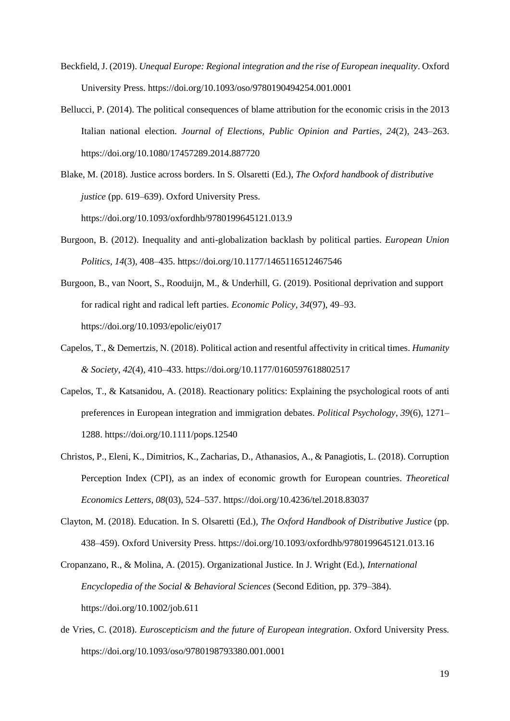- Beckfield, J. (2019). *Unequal Europe: Regional integration and the rise of European inequality*. Oxford University Press. https://doi.org/10.1093/oso/9780190494254.001.0001
- Bellucci, P. (2014). The political consequences of blame attribution for the economic crisis in the 2013 Italian national election. *Journal of Elections, Public Opinion and Parties*, *24*(2), 243–263. https://doi.org/10.1080/17457289.2014.887720
- Blake, M. (2018). Justice across borders. In S. Olsaretti (Ed.), *The Oxford handbook of distributive justice* (pp. 619–639). Oxford University Press. https://doi.org/10.1093/oxfordhb/9780199645121.013.9
- Burgoon, B. (2012). Inequality and anti-globalization backlash by political parties. *European Union Politics*, *14*(3), 408–435. https://doi.org/10.1177/1465116512467546
- Burgoon, B., van Noort, S., Rooduijn, M., & Underhill, G. (2019). Positional deprivation and support for radical right and radical left parties. *Economic Policy*, *34*(97), 49–93. https://doi.org/10.1093/epolic/eiy017
- Capelos, T., & Demertzis, N. (2018). Political action and resentful affectivity in critical times. *Humanity & Society*, *42*(4), 410–433. https://doi.org/10.1177/0160597618802517
- Capelos, T., & Katsanidou, A. (2018). Reactionary politics: Explaining the psychological roots of anti preferences in European integration and immigration debates. *Political Psychology*, *39*(6), 1271– 1288. https://doi.org/10.1111/pops.12540
- Christos, P., Eleni, K., Dimitrios, K., Zacharias, D., Athanasios, A., & Panagiotis, L. (2018). Corruption Perception Index (CPI), as an index of economic growth for European countries. *Theoretical Economics Letters*, *08*(03), 524–537. https://doi.org/10.4236/tel.2018.83037
- Clayton, M. (2018). Education. In S. Olsaretti (Ed.), *The Oxford Handbook of Distributive Justice* (pp. 438–459). Oxford University Press. https://doi.org/10.1093/oxfordhb/9780199645121.013.16

Cropanzano, R., & Molina, A. (2015). Organizational Justice. In J. Wright (Ed.), *International Encyclopedia of the Social & Behavioral Sciences* (Second Edition, pp. 379–384). https://doi.org/10.1002/job.611

de Vries, C. (2018). *Euroscepticism and the future of European integration*. Oxford University Press. https://doi.org/10.1093/oso/9780198793380.001.0001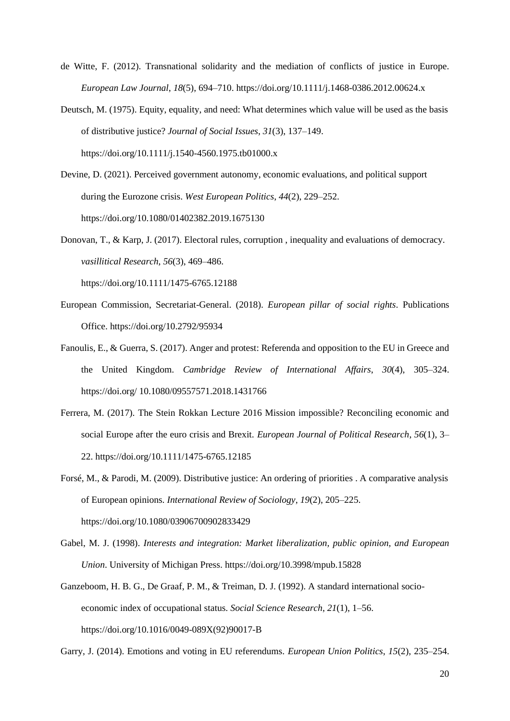- de Witte, F. (2012). Transnational solidarity and the mediation of conflicts of justice in Europe. *European Law Journal*, *18*(5), 694–710. https://doi.org/10.1111/j.1468-0386.2012.00624.x
- Deutsch, M. (1975). Equity, equality, and need: What determines which value will be used as the basis of distributive justice? *Journal of Social Issues*, *31*(3), 137–149. https://doi.org/10.1111/j.1540-4560.1975.tb01000.x
- Devine, D. (2021). Perceived government autonomy, economic evaluations, and political support during the Eurozone crisis. *West European Politics*, *44*(2), 229–252. https://doi.org/10.1080/01402382.2019.1675130
- Donovan, T., & Karp, J. (2017). Electoral rules, corruption , inequality and evaluations of democracy. *vasillitical Research*, *56*(3), 469–486. https://doi.org/10.1111/1475-6765.12188
- European Commission, Secretariat-General. (2018). *European pillar of social rights*. Publications Office. https://doi.org/10.2792/95934
- Fanoulis, E., & Guerra, S. (2017). Anger and protest: Referenda and opposition to the EU in Greece and the United Kingdom. *Cambridge Review of International Affairs*, *30*(4), 305–324. https://doi.org/ 10.1080/09557571.2018.1431766
- Ferrera, M. (2017). The Stein Rokkan Lecture 2016 Mission impossible? Reconciling economic and social Europe after the euro crisis and Brexit. *European Journal of Political Research*, *56*(1), 3– 22. https://doi.org/10.1111/1475-6765.12185
- Forsé, M., & Parodi, M. (2009). Distributive justice: An ordering of priorities . A comparative analysis of European opinions. *International Review of Sociology*, *19*(2), 205–225. https://doi.org/10.1080/03906700902833429
- Gabel, M. J. (1998). *Interests and integration: Market liberalization, public opinion, and European Union*. University of Michigan Press. https://doi.org/10.3998/mpub.15828
- Ganzeboom, H. B. G., De Graaf, P. M., & Treiman, D. J. (1992). A standard international socioeconomic index of occupational status. *Social Science Research*, *21*(1), 1–56. https://doi.org/10.1016/0049-089X(92)90017-B

Garry, J. (2014). Emotions and voting in EU referendums. *European Union Politics*, *15*(2), 235–254.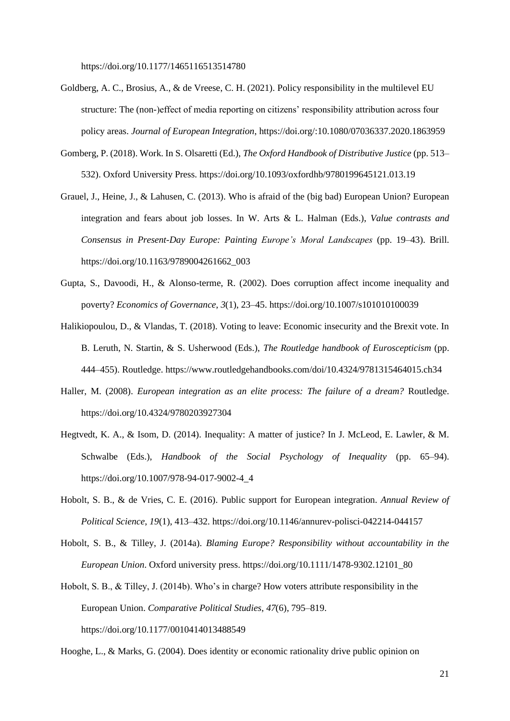https://doi.org/10.1177/1465116513514780

- Goldberg, A. C., Brosius, A., & de Vreese, C. H. (2021). Policy responsibility in the multilevel EU structure: The (non-)effect of media reporting on citizens' responsibility attribution across four policy areas. *Journal of European Integration*, https://doi.org/:10.1080/07036337.2020.1863959
- Gomberg, P. (2018). Work. In S. Olsaretti (Ed.), *The Oxford Handbook of Distributive Justice* (pp. 513– 532). Oxford University Press. https://doi.org/10.1093/oxfordhb/9780199645121.013.19
- Grauel, J., Heine, J., & Lahusen, C. (2013). Who is afraid of the (big bad) European Union? European integration and fears about job losses. In W. Arts & L. Halman (Eds.), *Value contrasts and Consensus in Present-Day Europe: Painting Europe's Moral Landscapes* (pp. 19–43). Brill. https://doi.org/10.1163/9789004261662\_003
- Gupta, S., Davoodi, H., & Alonso-terme, R. (2002). Does corruption affect income inequality and poverty? *Economics of Governance*, *3*(1), 23–45. https://doi.org/10.1007/s101010100039
- Halikiopoulou, D., & Vlandas, T. (2018). Voting to leave: Economic insecurity and the Brexit vote. In B. Leruth, N. Startin, & S. Usherwood (Eds.), *The Routledge handbook of Euroscepticism* (pp. 444–455). Routledge. https://www.routledgehandbooks.com/doi/10.4324/9781315464015.ch34
- Haller, M. (2008). *European integration as an elite process: The failure of a dream?* Routledge. https://doi.org/10.4324/9780203927304
- Hegtvedt, K. A., & Isom, D. (2014). Inequality: A matter of justice? In J. McLeod, E. Lawler, & M. Schwalbe (Eds.), *Handbook of the Social Psychology of Inequality* (pp. 65–94). https://doi.org/10.1007/978-94-017-9002-4\_4
- Hobolt, S. B., & de Vries, C. E. (2016). Public support for European integration. *Annual Review of Political Science*, *19*(1), 413–432. https://doi.org/10.1146/annurev-polisci-042214-044157
- Hobolt, S. B., & Tilley, J. (2014a). *Blaming Europe? Responsibility without accountability in the European Union*. Oxford university press. https://doi.org/10.1111/1478-9302.12101\_80
- Hobolt, S. B., & Tilley, J. (2014b). Who's in charge? How voters attribute responsibility in the European Union. *Comparative Political Studies*, *47*(6), 795–819. https://doi.org/10.1177/0010414013488549

Hooghe, L., & Marks, G. (2004). Does identity or economic rationality drive public opinion on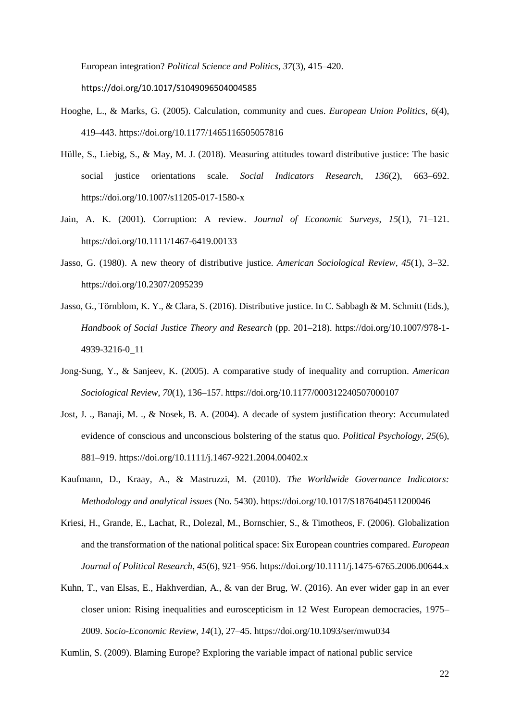European integration? *Political Science and Politics*, *37*(3), 415–420. https://doi.org/10.1017/S1049096504004585

- Hooghe, L., & Marks, G. (2005). Calculation, community and cues. *European Union Politics*, *6*(4), 419–443. https://doi.org/10.1177/1465116505057816
- Hülle, S., Liebig, S., & May, M. J. (2018). Measuring attitudes toward distributive justice: The basic social justice orientations scale. *Social Indicators Research*, *136*(2), 663–692. https://doi.org/10.1007/s11205-017-1580-x
- Jain, A. K. (2001). Corruption: A review. *Journal of Economic Surveys*, *15*(1), 71–121. https://doi.org/10.1111/1467-6419.00133
- Jasso, G. (1980). A new theory of distributive justice. *American Sociological Review*, *45*(1), 3–32. https://doi.org/10.2307/2095239
- Jasso, G., Törnblom, K. Y., & Clara, S. (2016). Distributive justice. In C. Sabbagh & M. Schmitt (Eds.), *Handbook of Social Justice Theory and Research* (pp. 201–218). https://doi.org/10.1007/978-1- 4939-3216-0\_11
- Jong-Sung, Y., & Sanjeev, K. (2005). A comparative study of inequality and corruption. *American Sociological Review*, *70*(1), 136–157. https://doi.org/10.1177/000312240507000107
- Jost, J. ., Banaji, M. ., & Nosek, B. A. (2004). A decade of system justification theory: Accumulated evidence of conscious and unconscious bolstering of the status quo. *Political Psychology*, *25*(6), 881–919. https://doi.org/10.1111/j.1467-9221.2004.00402.x
- Kaufmann, D., Kraay, A., & Mastruzzi, M. (2010). *The Worldwide Governance Indicators: Methodology and analytical issues* (No. 5430). https://doi.org/10.1017/S1876404511200046
- Kriesi, H., Grande, E., Lachat, R., Dolezal, M., Bornschier, S., & Timotheos, F. (2006). Globalization and the transformation of the national political space: Six European countries compared. *European Journal of Political Research*, *45*(6), 921–956. https://doi.org/10.1111/j.1475-6765.2006.00644.x
- Kuhn, T., van Elsas, E., Hakhverdian, A., & van der Brug, W. (2016). An ever wider gap in an ever closer union: Rising inequalities and euroscepticism in 12 West European democracies, 1975– 2009. *Socio-Economic Review*, *14*(1), 27–45. https://doi.org/10.1093/ser/mwu034

Kumlin, S. (2009). Blaming Europe? Exploring the variable impact of national public service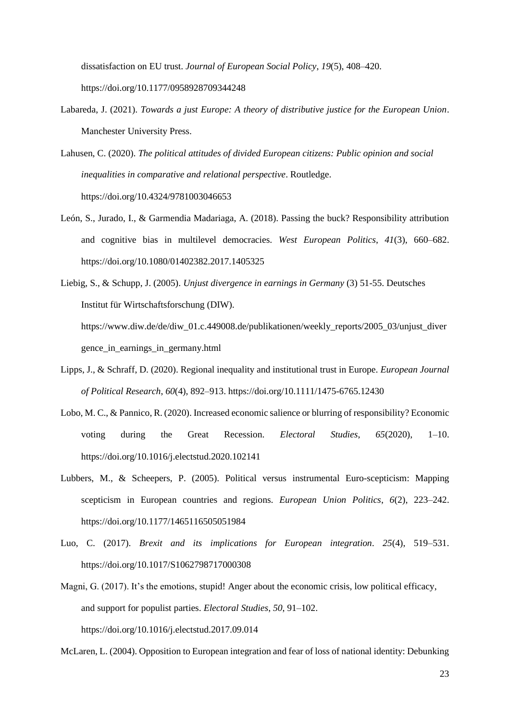dissatisfaction on EU trust. *Journal of European Social Policy*, *19*(5), 408–420. https://doi.org/10.1177/0958928709344248

- Labareda, J. (2021). *Towards a just Europe: A theory of distributive justice for the European Union*. Manchester University Press.
- Lahusen, C. (2020). *The political attitudes of divided European citizens: Public opinion and social inequalities in comparative and relational perspective*. Routledge. https://doi.org/10.4324/9781003046653
- León, S., Jurado, I., & Garmendia Madariaga, A. (2018). Passing the buck? Responsibility attribution and cognitive bias in multilevel democracies. *West European Politics*, *41*(3), 660–682. https://doi.org/10.1080/01402382.2017.1405325
- Liebig, S., & Schupp, J. (2005). *Unjust divergence in earnings in Germany* (3) 51-55. Deutsches Institut für Wirtschaftsforschung (DIW). https://www.diw.de/de/diw\_01.c.449008.de/publikationen/weekly\_reports/2005\_03/unjust\_diver gence\_in\_earnings\_in\_germany.html
- Lipps, J., & Schraff, D. (2020). Regional inequality and institutional trust in Europe. *European Journal of Political Research*, *60*(4), 892–913. https://doi.org/10.1111/1475-6765.12430
- Lobo, M. C., & Pannico, R. (2020). Increased economic salience or blurring of responsibility? Economic voting during the Great Recession. *Electoral Studies*, *65*(2020), 1–10. https://doi.org/10.1016/j.electstud.2020.102141
- Lubbers, M., & Scheepers, P. (2005). Political versus instrumental Euro-scepticism: Mapping scepticism in European countries and regions. *European Union Politics*, *6*(2), 223–242. https://doi.org/10.1177/1465116505051984
- Luo, C. (2017). *Brexit and its implications for European integration*. *25*(4), 519–531. https://doi.org/10.1017/S1062798717000308
- Magni, G. (2017). It's the emotions, stupid! Anger about the economic crisis, low political efficacy, and support for populist parties. *Electoral Studies*, *50*, 91–102. https://doi.org/10.1016/j.electstud.2017.09.014

McLaren, L. (2004). Opposition to European integration and fear of loss of national identity: Debunking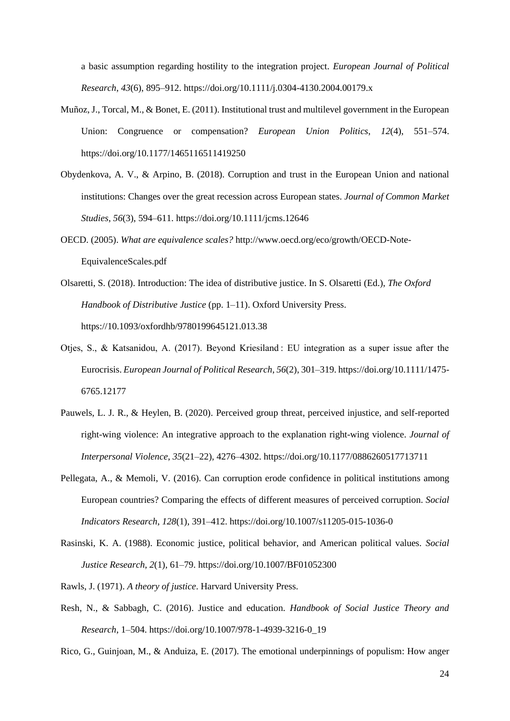a basic assumption regarding hostility to the integration project. *European Journal of Political Research*, *43*(6), 895–912. https://doi.org/10.1111/j.0304-4130.2004.00179.x

- Muñoz, J., Torcal, M., & Bonet, E. (2011). Institutional trust and multilevel government in the European Union: Congruence or compensation? *European Union Politics*, *12*(4), 551–574. https://doi.org/10.1177/1465116511419250
- Obydenkova, A. V., & Arpino, B. (2018). Corruption and trust in the European Union and national institutions: Changes over the great recession across European states. *Journal of Common Market Studies*, *56*(3), 594–611. https://doi.org/10.1111/jcms.12646
- OECD. (2005). *What are equivalence scales?* http://www.oecd.org/eco/growth/OECD-Note-EquivalenceScales.pdf
- Olsaretti, S. (2018). Introduction: The idea of distributive justice. In S. Olsaretti (Ed.), *The Oxford Handbook of Distributive Justice* (pp. 1–11). Oxford University Press. https://10.1093/oxfordhb/9780199645121.013.38
- Otjes, S., & Katsanidou, A. (2017). Beyond Kriesiland : EU integration as a super issue after the Eurocrisis. *European Journal of Political Research*, *56*(2), 301–319. https://doi.org/10.1111/1475- 6765.12177
- Pauwels, L. J. R., & Heylen, B. (2020). Perceived group threat, perceived injustice, and self-reported right-wing violence: An integrative approach to the explanation right-wing violence. *Journal of Interpersonal Violence*, *35*(21–22), 4276–4302. https://doi.org/10.1177/0886260517713711
- Pellegata, A., & Memoli, V. (2016). Can corruption erode confidence in political institutions among European countries? Comparing the effects of different measures of perceived corruption. *Social Indicators Research*, *128*(1), 391–412. https://doi.org/10.1007/s11205-015-1036-0
- Rasinski, K. A. (1988). Economic justice, political behavior, and American political values. *Social Justice Research*, *2*(1), 61–79. https://doi.org/10.1007/BF01052300
- Rawls, J. (1971). *A theory of justice*. Harvard University Press.
- Resh, N., & Sabbagh, C. (2016). Justice and education. *Handbook of Social Justice Theory and Research*, 1–504. https://doi.org/10.1007/978-1-4939-3216-0\_19

Rico, G., Guinjoan, M., & Anduiza, E. (2017). The emotional underpinnings of populism: How anger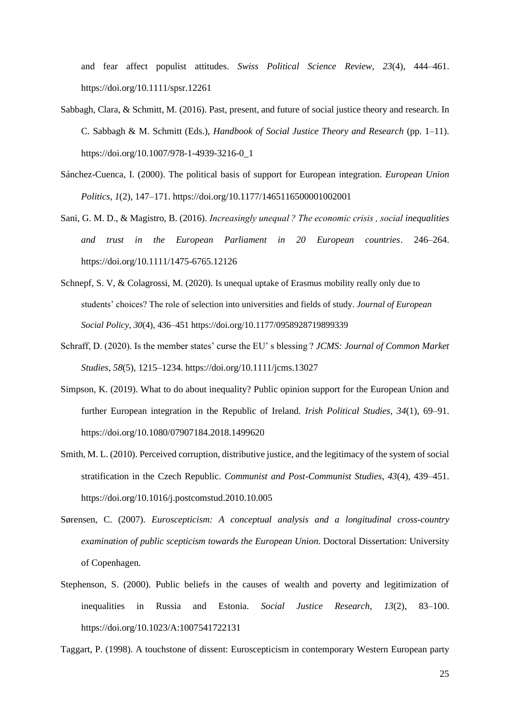and fear affect populist attitudes. *Swiss Political Science Review*, *23*(4), 444–461. https://doi.org/10.1111/spsr.12261

- Sabbagh, Clara, & Schmitt, M. (2016). Past, present, and future of social justice theory and research. In C. Sabbagh & M. Schmitt (Eds.), *Handbook of Social Justice Theory and Research* (pp. 1–11). https://doi.org/10.1007/978-1-4939-3216-0\_1
- Sánchez-Cuenca, I. (2000). The political basis of support for European integration. *European Union Politics*, *1*(2), 147–171. https://doi.org/10.1177/1465116500001002001
- Sani, G. M. D., & Magistro, B. (2016). *Increasingly unequal ? The economic crisis , social inequalities and trust in the European Parliament in 20 European countries*. 246–264. https://doi.org/10.1111/1475-6765.12126
- Schnepf, S. V, & Colagrossi, M. (2020). Is unequal uptake of Erasmus mobility really only due to students' choices? The role of selection into universities and fields of study. *Journal of European Social Policy*, *30*(4), 436–451 https://doi.org/10.1177/0958928719899339
- Schraff, D. (2020). Is the member states' curse the EU' s blessing ? *JCMS: Journal of Common Market Studies*, *58*(5), 1215–1234. https://doi.org/10.1111/jcms.13027
- Simpson, K. (2019). What to do about inequality? Public opinion support for the European Union and further European integration in the Republic of Ireland. *Irish Political Studies*, *34*(1), 69–91. https://doi.org/10.1080/07907184.2018.1499620
- Smith, M. L. (2010). Perceived corruption, distributive justice, and the legitimacy of the system of social stratification in the Czech Republic. *Communist and Post-Communist Studies*, *43*(4), 439–451. https://doi.org/10.1016/j.postcomstud.2010.10.005
- Sørensen, C. (2007). *Euroscepticism: A conceptual analysis and a longitudinal cross-country examination of public scepticism towards the European Union*. Doctoral Dissertation: University of Copenhagen.
- Stephenson, S. (2000). Public beliefs in the causes of wealth and poverty and legitimization of inequalities in Russia and Estonia. *Social Justice Research*, *13*(2), 83–100. https://doi.org/10.1023/A:1007541722131

Taggart, P. (1998). A touchstone of dissent: Euroscepticism in contemporary Western European party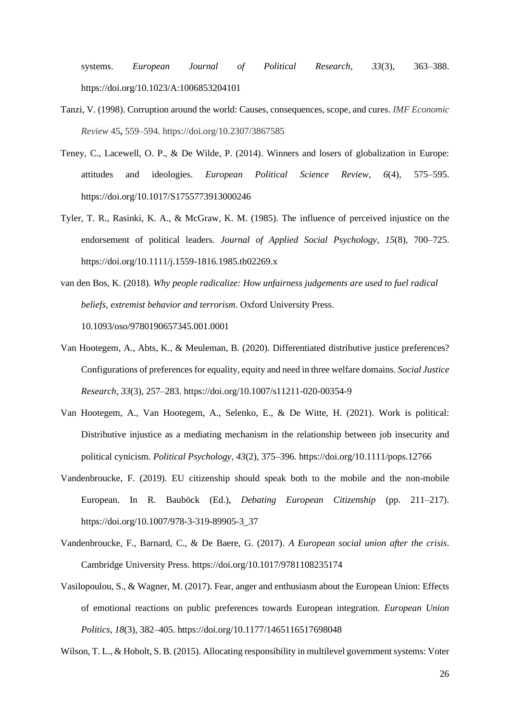systems. *European Journal of Political Research*, *33*(3), 363–388. https://doi.org/10.1023/A:1006853204101

- Tanzi, V. (1998). Corruption around the world: Causes, consequences, scope, and cures. *IMF Economic Review* 45**,** 559–594. https://doi.org/10.2307/3867585
- Teney, C., Lacewell, O. P., & De Wilde, P. (2014). Winners and losers of globalization in Europe: attitudes and ideologies. *European Political Science Review*, *6*(4), 575–595. https://doi.org/10.1017/S1755773913000246
- Tyler, T. R., Rasinki, K. A., & McGraw, K. M. (1985). The influence of perceived injustice on the endorsement of political leaders. *Journal of Applied Social Psychology*, *15*(8), 700–725. https://doi.org/10.1111/j.1559-1816.1985.tb02269.x
- van den Bos, K. (2018). *Why people radicalize: How unfairness judgements are used to fuel radical beliefs, extremist behavior and terrorism*. Oxford University Press. 10.1093/oso/9780190657345.001.0001
- Van Hootegem, A., Abts, K., & Meuleman, B. (2020). Differentiated distributive justice preferences? Configurations of preferences for equality, equity and need in three welfare domains. *Social Justice Research*, *33*(3), 257–283. https://doi.org/10.1007/s11211-020-00354-9
- Van Hootegem, A., Van Hootegem, A., Selenko, E., & De Witte, H. (2021). Work is political: Distributive injustice as a mediating mechanism in the relationship between job insecurity and political cynicism. *Political Psychology*, *43*(2), 375–396. https://doi.org/10.1111/pops.12766
- Vandenbroucke, F. (2019). EU citizenship should speak both to the mobile and the non-mobile European. In R. Bauböck (Ed.), *Debating European Citizenship* (pp. 211–217). https://doi.org/10.1007/978-3-319-89905-3\_37
- Vandenbroucke, F., Barnard, C., & De Baere, G. (2017). *A European social union after the crisis*. Cambridge University Press. https://doi.org/10.1017/9781108235174
- Vasilopoulou, S., & Wagner, M. (2017). Fear, anger and enthusiasm about the European Union: Effects of emotional reactions on public preferences towards European integration. *European Union Politics*, *18*(3), 382–405. https://doi.org/10.1177/1465116517698048

Wilson, T. L., & Hobolt, S. B. (2015). Allocating responsibility in multilevel government systems: Voter